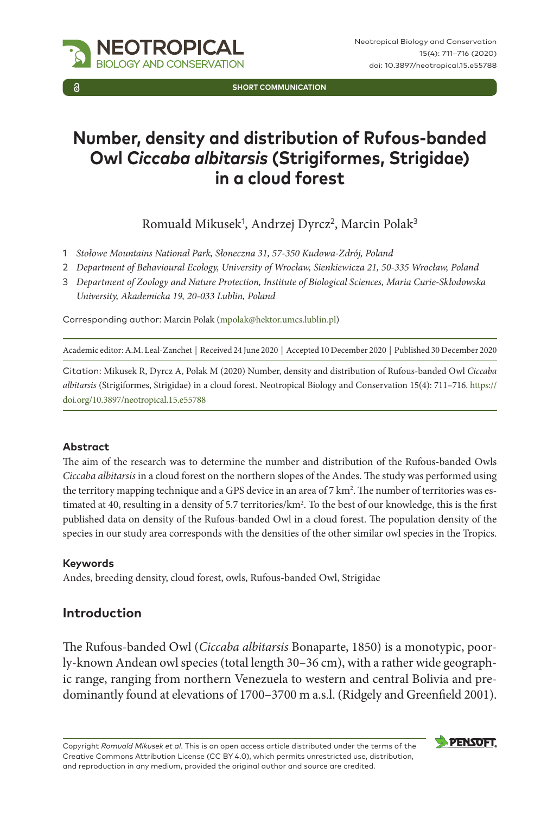

**Short Communication**

# **Number, density and distribution of Rufous-banded Owl** *Ciccaba albitarsis* **(Strigiformes, Strigidae) in a cloud forest**

Romuald Mikusek<sup>1</sup>, Andrzej Dyrcz<sup>2</sup>, Marcin Polak<sup>3</sup>

- 1 *Stołowe Mountains National Park, Słoneczna 31, 57-350 Kudowa-Zdrój, Poland*
- 2 *Department of Behavioural Ecology, University of Wrocław, Sienkiewicza 21, 50-335 Wrocław, Poland*
- 3 *Department of Zoology and Nature Protection, Institute of Biological Sciences, Maria Curie-Skłodowska University, Akademicka 19, 20-033 Lublin, Poland*

Corresponding author: Marcin Polak ([mpolak@hektor.umcs.lublin.pl\)](mailto:mpolak@hektor.umcs.lublin.pl)

Academic editor: A.M. Leal-Zanchet | Received 24 June 2020 | Accepted 10 December 2020 | Published 30 December 2020

Citation: Mikusek R, Dyrcz A, Polak M (2020) Number, density and distribution of Rufous-banded Owl *Ciccaba albitarsis* (Strigiformes, Strigidae) in a cloud forest. Neotropical Biology and Conservation 15(4): 711–716. [https://](https://doi.org/10.3897/neotropical.15.e55788) [doi.org/10.3897/neotropical.15.e55788](https://doi.org/10.3897/neotropical.15.e55788)

### **Abstract**

The aim of the research was to determine the number and distribution of the Rufous-banded Owls *Ciccaba albitarsis* in a cloud forest on the northern slopes of the Andes. The study was performed using the territory mapping technique and a GPS device in an area of 7 km<sup>2</sup>. The number of territories was estimated at 40, resulting in a density of 5.7 territories/km<sup>2</sup>. To the best of our knowledge, this is the first published data on density of the Rufous-banded Owl in a cloud forest. The population density of the species in our study area corresponds with the densities of the other similar owl species in the Tropics.

#### **Keywords**

Andes, breeding density, cloud forest, owls, Rufous-banded Owl, Strigidae

# **Introduction**

The Rufous-banded Owl (*Ciccaba albitarsis* Bonaparte, 1850) is a monotypic, poorly-known Andean owl species (total length 30–36 cm), with a rather wide geographic range, ranging from northern Venezuela to western and central Bolivia and predominantly found at elevations of 1700–3700 m a.s.l. (Ridgely and Greenfield 2001).

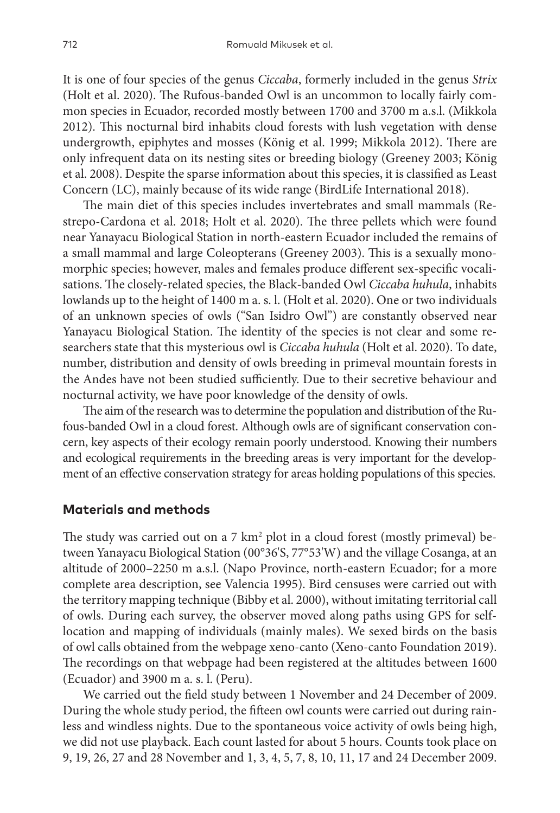It is one of four species of the genus *Ciccaba*, formerly included in the genus *Strix* (Holt et al. 2020). The Rufous-banded Owl is an uncommon to locally fairly common species in Ecuador, recorded mostly between 1700 and 3700 m a.s.l. (Mikkola 2012). This nocturnal bird inhabits cloud forests with lush vegetation with dense undergrowth, epiphytes and mosses (König et al. 1999; Mikkola 2012). There are only infrequent data on its nesting sites or breeding biology (Greeney 2003; König et al. 2008). Despite the sparse information about this species, it is classified as Least Concern (LC), mainly because of its wide range (BirdLife International 2018).

The main diet of this species includes invertebrates and small mammals (Restrepo-Cardona et al. 2018; Holt et al. 2020). The three pellets which were found near Yanayacu Biological Station in north-eastern Ecuador included the remains of a small mammal and large Coleopterans (Greeney 2003). This is a sexually monomorphic species; however, males and females produce different sex-specific vocalisations. The closely-related species, the Black-banded Owl *Ciccaba huhula*, inhabits lowlands up to the height of 1400 m a. s. l. (Holt et al. 2020). One or two individuals of an unknown species of owls ("San Isidro Owl") are constantly observed near Yanayacu Biological Station. The identity of the species is not clear and some researchers state that this mysterious owl is *Ciccaba huhula* (Holt et al. 2020). To date, number, distribution and density of owls breeding in primeval mountain forests in the Andes have not been studied sufficiently. Due to their secretive behaviour and nocturnal activity, we have poor knowledge of the density of owls.

The aim of the research was to determine the population and distribution of the Rufous-banded Owl in a cloud forest. Although owls are of significant conservation concern, key aspects of their ecology remain poorly understood. Knowing their numbers and ecological requirements in the breeding areas is very important for the development of an effective conservation strategy for areas holding populations of this species.

## **Materials and methods**

The study was carried out on a 7  $\rm km^2$  plot in a cloud forest (mostly primeval) between Yanayacu Biological Station (00°36'S, 77°53'W) and the village Cosanga, at an altitude of 2000–2250 m a.s.l. (Napo Province, north-eastern Ecuador; for a more complete area description, see Valencia 1995). Bird censuses were carried out with the territory mapping technique (Bibby et al. 2000), without imitating territorial call of owls. During each survey, the observer moved along paths using GPS for selflocation and mapping of individuals (mainly males). We sexed birds on the basis of owl calls obtained from the webpage xeno-canto (Xeno-canto Foundation 2019). The recordings on that webpage had been registered at the altitudes between 1600 (Ecuador) and 3900 m a. s. l. (Peru).

We carried out the field study between 1 November and 24 December of 2009. During the whole study period, the fifteen owl counts were carried out during rainless and windless nights. Due to the spontaneous voice activity of owls being high, we did not use playback. Each count lasted for about 5 hours. Counts took place on 9, 19, 26, 27 and 28 November and 1, 3, 4, 5, 7, 8, 10, 11, 17 and 24 December 2009.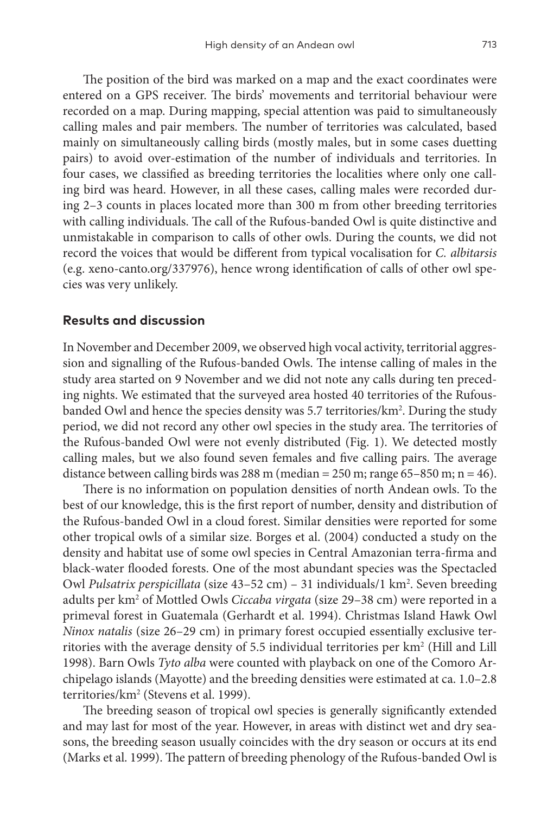The position of the bird was marked on a map and the exact coordinates were entered on a GPS receiver. The birds' movements and territorial behaviour were recorded on a map. During mapping, special attention was paid to simultaneously calling males and pair members. The number of territories was calculated, based mainly on simultaneously calling birds (mostly males, but in some cases duetting pairs) to avoid over-estimation of the number of individuals and territories. In four cases, we classified as breeding territories the localities where only one calling bird was heard. However, in all these cases, calling males were recorded during 2–3 counts in places located more than 300 m from other breeding territories with calling individuals. The call of the Rufous-banded Owl is quite distinctive and unmistakable in comparison to calls of other owls. During the counts, we did not record the voices that would be different from typical vocalisation for *C. albitarsis* (e.g. xeno-canto.org/337976), hence wrong identification of calls of other owl species was very unlikely.

### **Results and discussion**

In November and December 2009, we observed high vocal activity, territorial aggression and signalling of the Rufous-banded Owls. The intense calling of males in the study area started on 9 November and we did not note any calls during ten preceding nights. We estimated that the surveyed area hosted 40 territories of the Rufousbanded Owl and hence the species density was 5.7 territories/km<sup>2</sup>. During the study period, we did not record any other owl species in the study area. The territories of the Rufous-banded Owl were not evenly distributed (Fig. 1). We detected mostly calling males, but we also found seven females and five calling pairs. The average distance between calling birds was 288 m (median = 250 m; range 65-850 m; n = 46).

There is no information on population densities of north Andean owls. To the best of our knowledge, this is the first report of number, density and distribution of the Rufous-banded Owl in a cloud forest. Similar densities were reported for some other tropical owls of a similar size. Borges et al. (2004) conducted a study on the density and habitat use of some owl species in Central Amazonian terra-firma and black-water flooded forests. One of the most abundant species was the Spectacled Owl *Pulsatrix perspicillata* (size 43–52 cm) – 31 individuals/1 km<sup>2</sup>. Seven breeding adults per km<sup>2</sup> of Mottled Owls *Ciccaba virgata* (size 29–38 cm) were reported in a primeval forest in Guatemala (Gerhardt et al. 1994). Christmas Island Hawk Owl *Ninox natalis* (size 26–29 cm) in primary forest occupied essentially exclusive territories with the average density of 5.5 individual territories per  $km^2$  (Hill and Lill 1998). Barn Owls *Tyto alba* were counted with playback on one of the Comoro Archipelago islands (Mayotte) and the breeding densities were estimated at ca. 1.0–2.8 territories/km2 (Stevens et al. 1999).

The breeding season of tropical owl species is generally significantly extended and may last for most of the year. However, in areas with distinct wet and dry seasons, the breeding season usually coincides with the dry season or occurs at its end (Marks et al. 1999). The pattern of breeding phenology of the Rufous-banded Owl is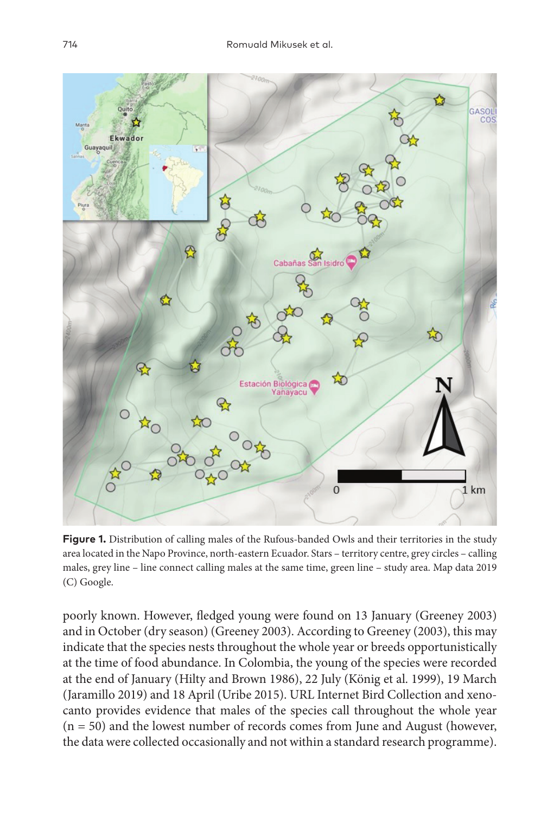

**Figure 1.** Distribution of calling males of the Rufous-banded Owls and their territories in the study area located in the Napo Province, north-eastern Ecuador. Stars – territory centre, grey circles – calling males, grey line – line connect calling males at the same time, green line – study area. Map data 2019 (C) Google.

poorly known. However, fledged young were found on 13 January (Greeney 2003) and in October (dry season) (Greeney 2003). According to Greeney (2003), this may indicate that the species nests throughout the whole year or breeds opportunistically at the time of food abundance. In Colombia, the young of the species were recorded at the end of January (Hilty and Brown 1986), 22 July (König et al. 1999), 19 March (Jaramillo 2019) and 18 April (Uribe 2015). URL Internet Bird Collection and xenocanto provides evidence that males of the species call throughout the whole year (n = 50) and the lowest number of records comes from June and August (however, the data were collected occasionally and not within a standard research programme).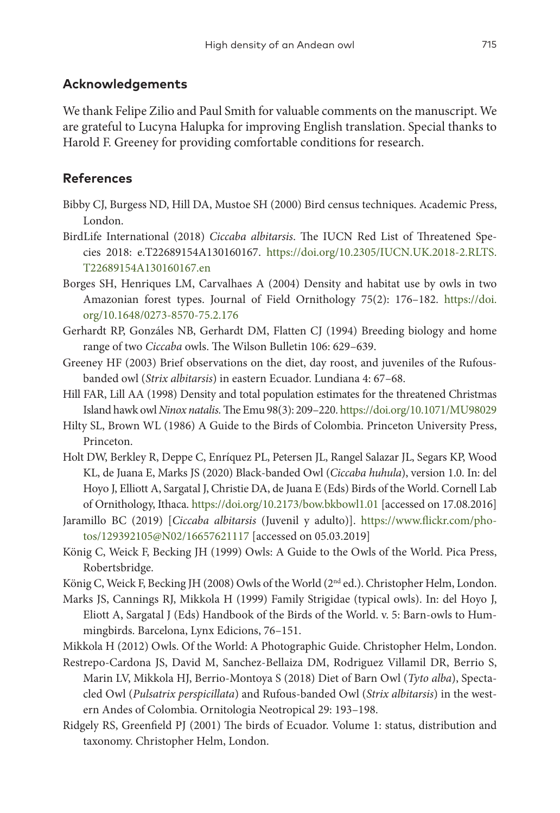## **Acknowledgements**

We thank Felipe Zilio and Paul Smith for valuable comments on the manuscript. We are grateful to Lucyna Halupka for improving English translation. Special thanks to Harold F. Greeney for providing comfortable conditions for research.

## **References**

- Bibby CJ, Burgess ND, Hill DA, Mustoe SH (2000) Bird census techniques. Academic Press, London.
- BirdLife International (2018) *Ciccaba albitarsis*. The IUCN Red List of Threatened Species 2018: e.T22689154A130160167. [https://doi.org/10.2305/IUCN.UK.2018-2.RLTS.](https://doi.org/10.2305/IUCN.UK.2018-2.RLTS.T22689154A130160167.en) [T22689154A130160167.en](https://doi.org/10.2305/IUCN.UK.2018-2.RLTS.T22689154A130160167.en)
- Borges SH, Henriques LM, Carvalhaes A (2004) Density and habitat use by owls in two Amazonian forest types. Journal of Field Ornithology 75(2): 176–182. [https://doi.](https://doi.org/10.1648/0273-8570-75.2.176) [org/10.1648/0273-8570-75.2.176](https://doi.org/10.1648/0273-8570-75.2.176)
- Gerhardt RP, Gonzáles NB, Gerhardt DM, Flatten CJ (1994) Breeding biology and home range of two *Ciccaba* owls. The Wilson Bulletin 106: 629–639.
- Greeney HF (2003) Brief observations on the diet, day roost, and juveniles of the Rufousbanded owl (*Strix albitarsis*) in eastern Ecuador. Lundiana 4: 67–68.
- Hill FAR, Lill AA (1998) Density and total population estimates for the threatened Christmas Island hawk owl *Ninox natalis.* The Emu 98(3): 209–220.<https://doi.org/10.1071/MU98029>
- Hilty SL, Brown WL (1986) A Guide to the Birds of Colombia. Princeton University Press, Princeton.
- Holt DW, Berkley R, Deppe C, Enríquez PL, Petersen JL, Rangel Salazar JL, Segars KP, Wood KL, de Juana E, Marks JS (2020) Black-banded Owl (*Ciccaba huhula*), version 1.0. In: del Hoyo J, Elliott A, Sargatal J, Christie DA, de Juana E (Eds) Birds of the World. Cornell Lab of Ornithology, Ithaca.<https://doi.org/10.2173/bow.bkbowl1.01> [accessed on 17.08.2016]
- Jaramillo BC (2019) [*Ciccaba albitarsis* (Juvenil y adulto)]. [https://www.flickr.com/pho](https://www.flickr.com/photos/129392105@N02/16657621117)[tos/129392105@N02/16657621117](https://www.flickr.com/photos/129392105@N02/16657621117) [accessed on 05.03.2019]
- König C, Weick F, Becking JH (1999) Owls: A Guide to the Owls of the World. Pica Press, Robertsbridge.
- König C, Weick F, Becking JH (2008) Owls of the World (2<sup>nd</sup> ed.). Christopher Helm, London.
- Marks JS, Cannings RJ, Mikkola H (1999) Family Strigidae (typical owls). In: del Hoyo J, Eliott A, Sargatal J (Eds) Handbook of the Birds of the World. v. 5: Barn-owls to Hummingbirds. Barcelona, Lynx Edicions, 76–151.
- Mikkola H (2012) Owls. Of the World: A Photographic Guide. Christopher Helm, London.
- Restrepo-Cardona JS, David M, Sanchez-Bellaiza DM, Rodriguez Villamil DR, Berrio S, Marin LV, Mikkola HJ, Berrio-Montoya S (2018) Diet of Barn Owl (*Tyto alba*), Spectacled Owl (*Pulsatrix perspicillata*) and Rufous-banded Owl (*Strix albitarsis*) in the western Andes of Colombia. Ornitologia Neotropical 29: 193–198.
- Ridgely RS, Greenfield PJ (2001) The birds of Ecuador. Volume 1: status, distribution and taxonomy. Christopher Helm, London.